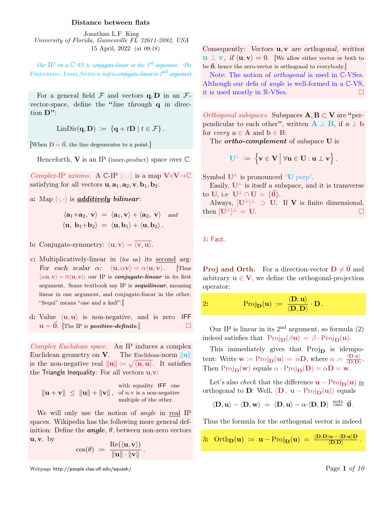## Distance between flats

Jonathan L.F. King University of Florida, Gainesville FL 32611-2082, USA 15 April, 2022 (at 09:18)

*Our* IP *on a* C*-VS is conjugate-linear in the 1*st*-argument. The* Friedberg, Insel,Spence *text is conjugate-linear in 2*nd*-argument.*

For a general field  $\mathcal F$  and vectors  $\mathbf q$ ,  $\mathbf D$  in an  $\mathcal F$ vector-space, define the "line through q in direction D":

$$
LinDir(\mathbf{q},\mathbf{D}) \;:=\; \{\mathbf{q}+t\mathbf{D}\;|\;t\in\mathcal{F}\}\,.
$$

[When  $\mathbf{D} = \vec{\mathbf{0}}$ , the line degenerates to a point.]

Henceforth,  $V$  is an IP (inner-product) space over  $\mathbb{C}$ .

Complex-IP axioms. A  $\mathbb{C}\text{-IP} \langle \cdot, \cdot \rangle$  is a map  $V \times V \rightarrow \mathbb{C}$ satisfying for all vectors  $\mathbf{u}, \mathbf{a}_1, \mathbf{a}_2, \mathbf{v}, \mathbf{b}_1, \mathbf{b}_2$ :

a: Map  $\langle \cdot, \cdot \rangle$  is *additively bilinear*:

$$
\langle \mathbf{a}_1 + \mathbf{a}_2, \mathbf{v} \rangle = \langle \mathbf{a}_1, \mathbf{v} \rangle + \langle \mathbf{a}_2, \mathbf{v} \rangle
$$
 and  
 $\langle \mathbf{u}, \mathbf{b}_1 + \mathbf{b}_2 \rangle = \langle \mathbf{u}, \mathbf{b}_1 \rangle + \langle \mathbf{u}, \mathbf{b}_2 \rangle$ .

- b: Conjugate-symmetry:  $\langle \mathbf{u}, \mathbf{v} \rangle = \langle \overline{\mathbf{v}, \mathbf{u}} \rangle$ .
- c: Multiplicatively-linear in (for us) its second arg: For each scalar  $\alpha$ :  $\langle \mathbf{u}, \alpha \mathbf{v} \rangle = \alpha \langle \mathbf{u}, \mathbf{v} \rangle$ . [Thus  $\langle \alpha \mathbf{u}, \mathbf{v} \rangle = \overline{\alpha} \langle \mathbf{u}, \mathbf{v} \rangle$ ; our IP is *conjugate-linear* in its first argument. Some textbook say IP is **sequilinear**, meaning linear in one argument, and conjugate-linear in the other. "Sequi" means "one and a half".
- d: Value  $\langle \mathbf{u}, \mathbf{u} \rangle$  is non-negative, and is zero IFF  $u = 0$ . The IP is *positive-definite*.

Complex Euclidean space. An IP induces a complex Euclidean geometry on **V**. The Euclidean-norm  $\|\mathbf{u}\|$ is the non-negative real  $\|\mathbf{u}\| := \sqrt{\langle \mathbf{u}, \mathbf{u} \rangle}$ . It satisfies the Triangle Inequality: For all vectors  $\mathbf{u}, \mathbf{v}$ :

$$
\|\mathbf{u} + \mathbf{v}\| \leq \|\mathbf{u}\| + \|\mathbf{v}\|, \text{ of } \mathbf{u}, \mathbf{v} \text{ is a non-negative multiple of the other.}
$$

We will only use the notion of *angle* in real IP spaces. Wikipedia has the following more general definition: Define the **angle**,  $\theta$ , between non-zero vectors  $\mathbf{u}, \mathbf{v}, \text{ by}$ 

$$
\cos(\theta) \ := \ \frac{\text{Re}(\langle \mathbf{u}, \mathbf{v} \rangle)}{\|\mathbf{u}\| \cdot \|\mathbf{v}\|}
$$

.

Webpage http://people.clas.ufl.edu/squash/  $\rm{Page\ 1\ of\ 10}$ 

Consequently: Vectors **u**, **v** are orthogonal, written  $\mathbf{u} \perp \mathbf{v}$ , if  $\langle \mathbf{u}, \mathbf{v} \rangle = 0$ . [We allow either vector or both to be  $\vec{0}$ ; hence the zero-vector is orthogonal to everybody.]

Note: The notion of *orthogonal* is used in C-VSes. Although our defn of angle is well-formed in a C-VS, it is used mostly in R-VSes.

*Orthogonal subspaces.* Subspaces  $A, B \subset V$  are "perpendicular to each other", written  $\mathbf{A} \perp \mathbf{B}$ , if  $\mathbf{a} \perp \mathbf{b}$ for *every*  $\mathbf{a} \in \mathbf{A}$  and  $\mathbf{b} \in \mathbf{B}$ .

The *ortho-complement* of subspace **U** is

$$
\mathbf{U}^{\perp} \ := \ \Big\{ \mathbf{v} \in \mathbf{V} \Big\vert \ \forall \mathbf{u} \in \mathbf{U} : \mathbf{u} \perp \mathbf{v} \Big\} \, .
$$

Symbol  $\mathbf{U}^{\perp}$  is pronounced "U perp".

Easily,  $U^{\perp}$  is itself a subspace, and it is transverse to U, i.e  $\mathbf{U}^{\perp} \cap \mathbf{U} = \{\vec{\mathbf{0}}\}.$ 

Always,  $[\mathbf{U}^{\perp}]^{\perp} \supset \mathbf{U}$ . If **V** is finite dimensional, then  $[\mathbf{U}^{\perp}]^{\perp} = \mathbf{U}$ .

## 1: Fact.

**Proj and Orth.** For a direction-vector  $D \neq \vec{0}$  and arbitrary  $\mathbf{u} \in \mathbf{V}$ , we define the orthogonal-projection operator:

$$
\text{Proj}_{\mathbf{D}}(\mathbf{u}) \ := \ \frac{\langle \mathbf{D}, \mathbf{u} \rangle}{\langle \mathbf{D}, \mathbf{D} \rangle} \cdot \mathbf{D} \, .
$$

Our IP is linear in its  $2<sup>nd</sup>$  argument, so formula (2) indeed satisfies that  $\text{Proj}_{\mathbf{D}}(\beta \mathbf{u}) = \beta \cdot \text{Proj}_{\mathbf{D}}(\mathbf{u}).$ 

This immediately gives that  $Proj_{D}$  is idempotent: Write  $\mathbf{w} \coloneqq \text{Proj}_{\mathbf{D}}(\mathbf{u}) = \alpha \mathbf{D}$ , where  $\alpha \coloneqq \frac{\langle \mathbf{D}, \mathbf{u} \rangle}{\langle \mathbf{D}, \mathbf{D} \rangle}$  $\frac{\langle {\bf D},{\bf u}\rangle}{\langle {\bf D},{\bf D}\rangle}.$ Then  $\text{Proj}_{\mathbf{D}}(\mathbf{w})$  equals  $\alpha \cdot \text{Proj}_{\mathbf{D}}(\mathbf{D}) = \alpha \mathbf{D} = \mathbf{w}$ .

Let's also *check* that the difference  $\mathbf{u} - \text{Proj}_{\mathbf{D}}(\mathbf{u})$  is orthogonal to D: Well,  $\langle \mathbf{D}, \mathbf{u} - \text{Proj}_{\mathbf{D}}(\mathbf{u}) \rangle$  equals

$$
\langle \mathbf{D}, \mathbf{u} \rangle - \langle \mathbf{D}, \mathbf{w} \rangle \; = \; \langle \mathbf{D}, \mathbf{u} \rangle - \alpha \cdot \langle \mathbf{D}, \mathbf{D} \rangle \; \stackrel{\text{note}}{=\!\!=} \; \vec{\mathbf{0}} \, .
$$

Thus the formula for the orthogonal vector is indeed

3: 
$$
\operatorname{Orth}_{D}(u) := u - \operatorname{Proj}_{D}(u) = \frac{\langle D,D \rangle u - \langle D,u \rangle D}{\langle D,D \rangle}
$$
.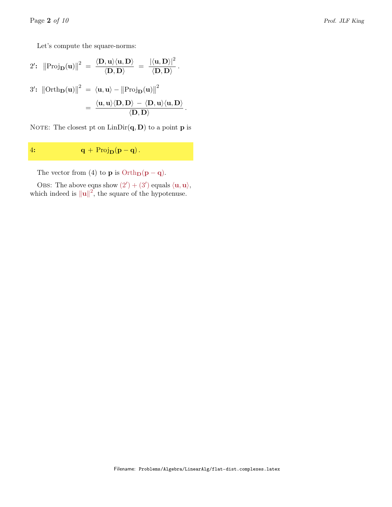Let's compute the square-norms:

2': 
$$
||\text{Proj}_{D}(u)||^{2} = \frac{\langle D, u \rangle \langle u, D \rangle}{\langle D, D \rangle} = \frac{|\langle u, D \rangle|^{2}}{\langle D, D \rangle}.
$$
  
\n3':  $||\text{Orth}_{D}(u)||^{2} = \langle u, u \rangle - ||\text{Proj}_{D}(u)||^{2}$   
\n $= \frac{\langle u, u \rangle \langle D, D \rangle - \langle D, u \rangle \langle u, D \rangle}{\langle D, D \rangle}.$ 

NOTE: The closest pt on  $\text{LinDir}(\mathbf{q}, \mathbf{D})$  to a point **p** is

4:  $\mathbf{q} + \text{Proj}_{\mathbf{D}}(\mathbf{p} - \mathbf{q}).$ 

The vector from (4) to **p** is  $Orth_D(p - q)$ .

OBS: The above eqns show  $(2') + (3')$  equals  $\langle \mathbf{u}, \mathbf{u} \rangle$ , which indeed is  $\|\mathbf{u}\|^2$ , the square of the hypotenuse.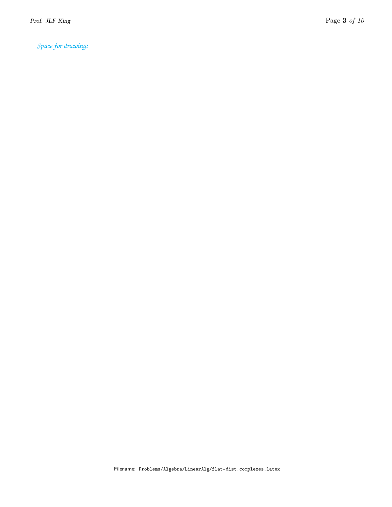*Space for drawing:*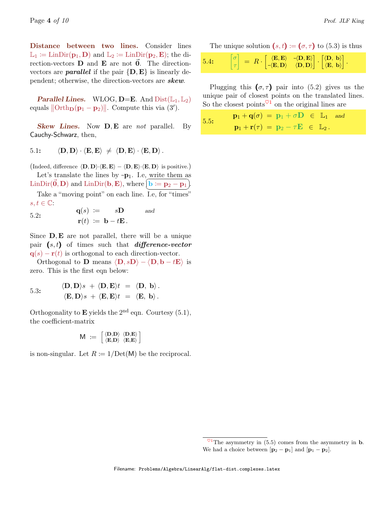Distance between two lines. Consider lines  $\mathbb{L}_1 := \text{LinDir}(\mathbf{p}_1, \mathbf{D})$  and  $\mathbb{L}_2 := \text{LinDir}(\mathbf{p}_2, \mathbf{E})$ ; the direction-vectors  **and**  $**E**$  **are not**  $\vec{0}$ **. The direction**vectors are **parallel** if the pair  $\{D, E\}$  is linearly dependent; otherwise, the direction-vectors are **skew**.

**Parallel Lines.** WLOG, **D=E**. And  $Dist(\mathbb{L}_1, \mathbb{L}_2)$ equals  $\|\text{Orth}_D(p_1 - p_2)\|$ . Compute this via  $(3')$ .

**Skew Lines.** Now **D**, **E** are *not* parallel. By Cauchy-Schwarz, then,

5.1: 
$$
\langle \mathbf{D}, \mathbf{D} \rangle \cdot \langle \mathbf{E}, \mathbf{E} \rangle \neq \langle \mathbf{D}, \mathbf{E} \rangle \cdot \langle \mathbf{E}, \mathbf{D} \rangle
$$
.

(Indeed, difference  $\langle \mathbf{D}, \mathbf{D} \rangle \cdot \langle \mathbf{E}, \mathbf{E} \rangle - \langle \mathbf{D}, \mathbf{E} \rangle \cdot \langle \mathbf{E}, \mathbf{D} \rangle$  is positive.) Let's translate the lines by  $-p_1$ . I.e, write them as LinDir( $\vec{0}$ , D) and LinDir( $\bf{b}$ , E), where  $\vec{b} := \bf{p}_2 - \bf{p}_1$ .

Take a "moving point" on each line. I.e, for "times"  $s, t \in \mathbb{C}$ :

 $q(s) := sD$  and  $\mathbf{r}(t) := \mathbf{b} - t\mathbf{E}$ . 5.2:

Since  $D, E$  are not parallel, there will be a unique pair  $(s, t)$  of times such that *difference-vector*  $q(s) - r(t)$  is orthogonal to each direction-vector.

Orthogonal to **D** means  $\langle \mathbf{D}, s\mathbf{D} \rangle - \langle \mathbf{D}, \mathbf{b} - t\mathbf{E} \rangle$  is zero. This is the first eqn below:

5.3: 
$$
\langle \mathbf{D}, \mathbf{D} \rangle s + \langle \mathbf{D}, \mathbf{E} \rangle t = \langle \mathbf{D}, \mathbf{b} \rangle.
$$
  
 $\langle \mathbf{E}, \mathbf{D} \rangle s + \langle \mathbf{E}, \mathbf{E} \rangle t = \langle \mathbf{E}, \mathbf{b} \rangle.$ 

Orthogonality to **E** yields the  $2<sup>nd</sup>$  eqn. Courtesy (5.1), the coefficient-matrix

$$
\mathsf{M} \; := \; \left[ \begin{smallmatrix} \langle \mathbf{D}, \mathbf{D} \rangle & \langle \mathbf{D}, \mathbf{E} \rangle \\ \langle \mathbf{E}, \mathbf{D} \rangle & \langle \mathbf{E}, \mathbf{E} \rangle \end{smallmatrix} \right]
$$

is non-singular. Let  $R := 1/\text{Det}(\mathsf{M})$  be the reciprocal.

| 5.4: | $\begin{bmatrix} \sigma \\ \tau \end{bmatrix} \;=\; R\cdot \begin{bmatrix} \langle \mathbf{E}, \mathbf{E} \rangle & \langle \mathbf{D}, \mathbf{E} \rangle \\ \langle \mathbf{E}, \mathbf{D} \rangle & \langle \mathbf{D}, \mathbf{D} \rangle \end{bmatrix} \cdot \begin{bmatrix} \langle \mathbf{D},\ \mathbf{b} \rangle \\ \langle \mathbf{E},\ \mathbf{b} \rangle \end{bmatrix}.$ |
|------|--------------------------------------------------------------------------------------------------------------------------------------------------------------------------------------------------------------------------------------------------------------------------------------------------------------------------------------------------------------------------------------|
|------|--------------------------------------------------------------------------------------------------------------------------------------------------------------------------------------------------------------------------------------------------------------------------------------------------------------------------------------------------------------------------------------|

Plugging this  $(\sigma, \tau)$  pair into (5.2) gives us the unique pair of closest points on the translated lines. So the closest points  $\sqrt{1}$  on the original lines are

| 5.5: | $\mathbf{p}_1 + \mathbf{q}(\sigma) = \mathbf{p}_1 + \sigma \mathbf{D} \in \mathbb{L}_1$ and |
|------|---------------------------------------------------------------------------------------------|
|      | $\mathbf{p}_1 + \mathbf{r}(\tau) = \mathbf{p}_2 - \tau \mathbf{E} \in \mathbb{L}_2$ .       |

 $^{\heartsuit 1}$ The asymmetry in (5.5) comes from the asymmetry in **b**. We had a choice between  $[\mathbf{p}_2 - \mathbf{p}_1]$  and  $[\mathbf{p}_1 - \mathbf{p}_2]$ .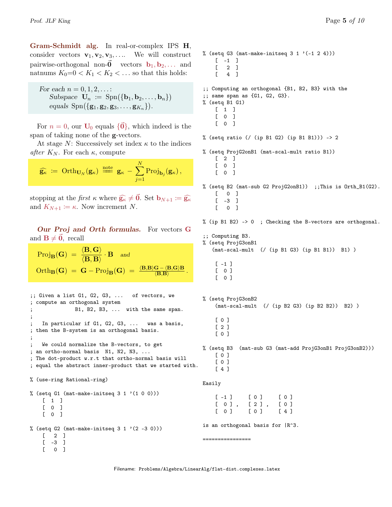Gram-Schmidt alg. In real-or-complex IPS H, consider vectors  $\mathbf{v}_1, \mathbf{v}_2, \mathbf{v}_3, \ldots$  We will construct pairwise-orthogonal non- $\mathbf{0}$  vectors  $\mathbf{b}_1, \mathbf{b}_2, \ldots$  and natnums  $K_0=0 < K_1 < K_2 < \dots$  so that this holds:

```
For each n = 0, 1, 2, \ldots:
      Subspace \mathbf{U}_n := \text{Spn}(\{\mathbf{b}_1, \mathbf{b}_2, \ldots, \mathbf{b}_n\})equals \text{Spn}(\{g_1, g_2, g_3, \ldots, g_{K_n}\}).
```
For  $n = 0$ , our  **equals**  ${\bar{0}}$ **, which indeed is the** span of taking none of the g-vectors.

At stage  $N$ : Successively set index  $\kappa$  to the indices after  $K_N$ . For each  $\kappa$ , compute

$$
\widehat{\mathbf{g}_{\kappa}} \; \coloneqq \; \text{Orth}_{\mathbf{U}_N}(\mathbf{g}_{\kappa}) \; \stackrel{\text{note}}{\Longrightarrow} \; \mathbf{g}_{\kappa} \, - \, \sum_{j=1}^N \text{Proj}_{\mathbf{b}_j}(\mathbf{g}_{\kappa}) \, ,
$$

stopping at the first  $\kappa$  where  $\widehat{\mathbf{g}_{\kappa}} \neq \vec{0}$ . Set  $\mathbf{b}_{N+1} := \widehat{\mathbf{g}_{\kappa}}$ and  $K_{N+1} := \kappa$ . Now increment N.

Our Proj and Orth formulas. For vectors G and  $B \neq 0$ , recall

$$
\text{Proj}_{\mathbf{B}}(\mathbf{G}) = \frac{\langle \mathbf{B}, \mathbf{G} \rangle}{\langle \mathbf{B}, \mathbf{B} \rangle} \cdot \mathbf{B} \quad \text{and}
$$
\n
$$
\text{Orth}_{\mathbf{B}}(\mathbf{G}) = \mathbf{G} - \text{Proj}_{\mathbf{B}}(\mathbf{G}) = \frac{\langle \mathbf{B}, \mathbf{B} \rangle \mathbf{G} - \langle \mathbf{B}, \mathbf{G} \rangle \mathbf{B}}{\langle \mathbf{B}, \mathbf{B} \rangle}.
$$

```
;; Given a list G1, G2, G3, ... of vectors, we
; compute an orthogonal system
               B1, B2, B3, ... with the same span.
;
    In particular if G1, G2, G3, ... was a basis,
; then the B-system is an orthogonal basis.
;
    We could normalize the B-vectors, to get
; an ortho-normal basis N1, N2, N3, ...
; The dot-product w.r.t that ortho-normal basis will
; equal the abstract inner-product that we started with.
% (use-ring Rational-ring)
% (setq G1 (mat-make-initseq 3\ 1\ (1\ 0\ 0)))
    [1][ 0 ]
    \begin{bmatrix} 0 & 1 \end{bmatrix}% (setq G2 (mat-make-initseq 3 \t1' (2 -3 0)))
    [ 2 ]
    [ -3 ]
    [ 0 ]
                                                            % (setq ProjG3onB2
                                                                 [ 0 ]
                                                                 [ 2 ]
                                                                 [ 0 ]
                                                                 [ 0 ]
                                                                 [ 0 ]
                                                                 [ 4 ]
                                                            Easily
                                                             ================
```

```
% (setq G3 (mat-make-initseq 3 1 '(-1 2 4)))
     [-1]\begin{bmatrix} 2 & 1 \end{bmatrix}[ 4 ]
;; Computing an orthogonal {B1, B2, B3} with the
;; same span as {G1, G2, G3}.
% (setq B1 G1)
     [ 1 ]
     [ 0 ]
     [ 0 ]
% (setq ratio (/ (ip B1 G2) (ip B1 B1))) -> 2
% (setq ProjG2onB1 (mat-scal-mult ratio B1))
     \begin{bmatrix} 2 & 1 \end{bmatrix}[ 0 ]
     [ 0 ]
% (setq B2 (mat-sub G2 ProjG2onB1)) ;;This is Orth_B1(G2).
     [ 0 ]
     [-3][ 0 ]
% (ip B1 B2) -> 0 ; Checking the B-vectors are orthogonal.
;; Computing B3.
% (setq ProjG3onB1
    (mat-scal-mult (/ (ip B1 G3) (ip B1 B1)) B1) )
     [-1][ 0 ]
     [ 0 ]
     (mat-scal-mult (/ (ip B2 G3) (ip B2 B2)) B2) )
% (setq B3 (mat-sub G3 (mat-add ProjG3onB1 ProjG3onB2)))
     \begin{bmatrix} -1 & 1 & 0 & 1 & 0 \\ 0 & 0 & 0 & 0 & 0 \\ 0 & 0 & 0 & 0 & 0 \\ 0 & 0 & 0 & 0 & 0 \\ 0 & 0 & 0 & 0 & 0 \\ 0 & 0 & 0 & 0 & 0 \\ 0 & 0 & 0 & 0 & 0 \\ 0 & 0 & 0 & 0 & 0 \\ 0 & 0 & 0 & 0 & 0 \\ 0 & 0 & 0 & 0 & 0 \\ 0 & 0 & 0 & 0 & 0 \\ 0 & 0 & 0 & 0 & 0 \\ 0 & 0 & 0 & 0 & 0 \\ 0 & 0 & 0 & 0 & 0 \\ 0 & [0], [2], [0][0] [0] [4]is an orthogonal basis for |R^3.
```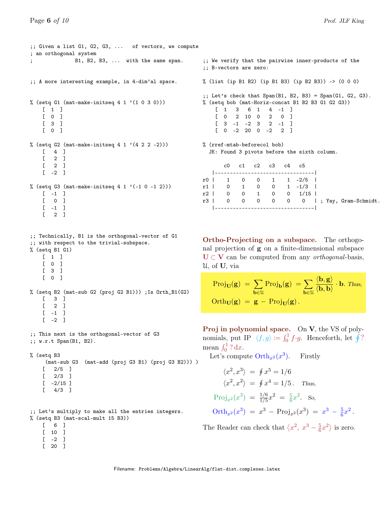```
;; Given a list G1, G2, G3, ... of vectors, we compute
; an orthogonal system
; B1, B2, B3, ... with the same span.
;; A more interesting example, in 4-dim'al space.
% (setq G1 (mat-make-initseq 4 1 '(1 0 3 0)))
    [1][ 0 ]
    [ 3 ]
    [ 0 ]
% (setq G2 (mat-make-initseq 4 1 (4 2 2 -2)))
    [ 4 ]
    \begin{bmatrix} 2 & 1 \end{bmatrix}[ 2 ]
    [-2]% (setq G3 (mat-make-initseq 4 1 '(-1 0 -1 2)))
    [-1][ 0 ]
    [-1][ 2 ]
;; Technically, B1 is the orthogonal-vector of G1
;; with respect to the trivial-subspace.
% (setq B1 G1)
    [\begin{array}{cc} 1 & 1 \end{array}][ 0 ]
    [ 3 ]
    [ 0 ]
% (setq B2 (mat-sub G2 (proj G2 B1))) ;Is Orth_B1(G2)
    [ 3 ]
    [ 2 ]
    [-1]\lceil -2 \rceil;; This next is the orthogonal-vector of G3
;; w.r.t Span(B1, B2).
% (setq B3
     (mat-sub G3 (mat-add (proj G3 B1) (proj G3 B2))) )
    [ 2/5 ][ 2/3 ][-2/15][ 4/3 ];; Let's multiply to make all the entries integers.
% (setq B3 (mat-scal-mult 15 B3))
                                                         ;; We verify that the pairwise inner-products of the
```
;; B-vectors are zero: % (list (ip B1 B2) (ip B1 B3) (ip B2 B3)) -> (0 0 0) ;; Let's check that Span(B1, B2, B3) = Span(G1, G2, G3). % (setq bob (mat-Horiz-concat B1 B2 B3 G1 G2 G3)) [ 1 3 6 1 4 -1 ] [ 0 2 10 0 2 0 ]  $[3 -1 -2 3 2 -1]$  $[0 -2 20 0 -2 2]$ % (rref-mtab-beforecol bob)

JK: Found 3 pivots before the sixth column.

|  |  | c0 c1 c2 c3 c4 c5 |                                    |  |                                        |
|--|--|-------------------|------------------------------------|--|----------------------------------------|
|  |  |                   | ---------------------------------- |  |                                        |
|  |  |                   | r0   1 0 0 1 1 -2/5                |  |                                        |
|  |  |                   | r1   0 1 0 0 1 -1/3                |  |                                        |
|  |  |                   | r2   0 0 1 0 0 1/15                |  |                                        |
|  |  |                   |                                    |  | r3   0 0 0 0 0 0  ; Yay, Gram-Schmidt. |
|  |  |                   |                                    |  |                                        |

Ortho-Projecting on a subspace. The orthogonal projection of g on a finite-dimensional subspace  $U \subset V$  can be computed from any *orthogonal*-basis, U, of U, via

$$
\begin{aligned} \text{Proj}_{\mathbf{U}}(\mathbf{g}) \ &= \sum_{\mathbf{b}\in\mathcal{U}} \text{Proj}_{\mathbf{b}}(\mathbf{g}) \ = \sum_{\mathbf{b}\in\mathcal{U}} \frac{\langle \mathbf{b}, \mathbf{g} \rangle}{\langle \mathbf{b}, \mathbf{b} \rangle} \cdot \mathbf{b}. \text{ Thus,} \\ \text{Orth}_{\mathbf{U}}(\mathbf{g}) \ &= \mathbf{g} - \text{Proj}_{\mathbf{U}}(\mathbf{g}). \end{aligned}
$$

Proj in polynomial space. On V, the VS of polynomials, put IP  $\langle f, g \rangle := \int_0^1 f \cdot g$ . Henceforth, let  $\oint$ ? mean  $\int_0^1 ? \, dx$ .

Let's compute  $\text{Orth}_{x^2}(x^3)$ ). Firstly

$$
\langle x^2, x^3 \rangle = \oint x^5 = 1/6
$$
  
\n
$$
\langle x^2, x^2 \rangle = \oint x^4 = 1/5.
$$
 Thus,  
\n
$$
Proj_{x^2}(x^3) = \frac{1/6}{1/5}x^2 = \frac{5}{6}x^2.
$$
 So,  
\n
$$
Orth_{x^2}(x^3) = x^3 - Proj_{x^2}(x^3) = x^3 - \frac{5}{6}x^2.
$$

The Reader can check that  $\langle x^2, x^3 - \frac{5}{6} \rangle$  $\frac{5}{6}x^2$  is zero.

```
[ 6 ]
```
- [ 10 ]
- $[-2]$
- [ 20 ]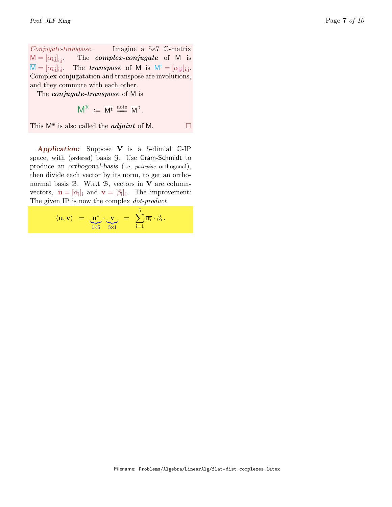Conjugate-transpose. Imagine a 5×7 C-matrix  $M = [\alpha_{i,j}]_{i,j}$ The *complex-conjugate* of M is  $M = [\overline{\alpha_{i,j}}]_{i,j}$ . The **transpose** of M is  $M^t = [\alpha_{j,i}]_{i,j}$ . Complex-conjugatation and transpose are involutions, and they commute with each other.

The *conjugate-transpose* of M is

$$
\mathsf{M}^* \;:=\; \overline{\mathsf{M}^t} \; \stackrel{\mathrm{note}}{=\!\!=} \; \overline{\mathsf{M}}^{\,t} \,.
$$

This  $M^*$  is also called the *adjoint* of M.

Application: Suppose  $V$  is a 5-dim'al  $C$ -IP space, with (ordered) basis G. Use Gram-Schmidt to produce an orthogonal-basis (i.e, pairwise orthogonal), then divide each vector by its norm, to get an orthonormal basis  $B$ . W.r.t  $B$ , vectors in  $V$  are columnvectors,  $\mathbf{u} = [\alpha_i]_i$  and  $\mathbf{v} = [\beta_i]_i$ . The improvement: The given IP is now the complex  $dot$ -product

$$
\langle \mathbf{u}, \mathbf{v} \rangle = \mathbf{u}^* \cdot \mathbf{v} = \sum_{i=1}^5 \overline{\alpha_i} \cdot \beta_i.
$$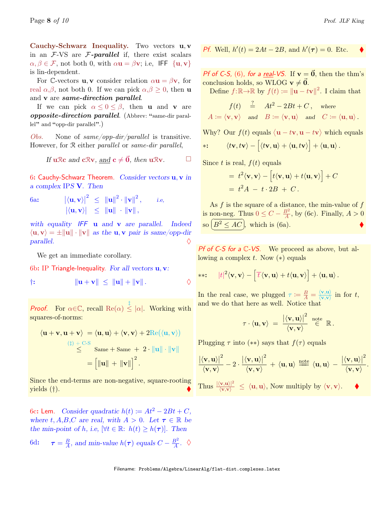Cauchy-Schwarz Inequality. Two vectors u, v in an  $F$ -VS are  $F$ -parallel if, there exist scalars  $\alpha, \beta \in \mathcal{F}$ , not both 0, with  $\alpha \mathbf{u} = \beta \mathbf{v}$ ; i.e, IFF  $\{\mathbf{u}, \mathbf{v}\}\$ is lin-dependent.

For C-vectors **u**, **v** consider relation  $\alpha$ **u** =  $\beta$ **v**, for real  $\alpha, \beta$ , not both 0. If we can pick  $\alpha, \beta \geq 0$ , then **u** and v are same-direction parallel.

If we can pick  $\alpha \leq 0 \leq \beta$ , then **u** and **v** are opposite-direction parallel. (Abbrev: "same-dir parallel" and "opp-dir parallel".)

Obs. None of same/opp-dir/parallel is transitive. However, for R either parallel or same-dir parallel,

If 
$$
u \mathbb{R}c
$$
 and  $c \mathbb{R}v$ , and  $c \neq \vec{0}$ , then  $u \mathbb{R}v$ .

6: Cauchy-Schwarz Theorem. Consider vectors  $\mathbf{u}, \mathbf{v}$  in a complex IPS V. Then

6a: 
$$
|\langle \mathbf{u}, \mathbf{v} \rangle|^2 \leq ||\mathbf{u}||^2 \cdot ||\mathbf{v}||^2
$$
, i.e,  
 $|\langle \mathbf{u}, \mathbf{v} \rangle| \leq ||\mathbf{u}|| \cdot ||\mathbf{v}||$ ,

with equality IFF **u** and **v** are parallel. Indeed  $\langle \mathbf{u}, \mathbf{v} \rangle = \pm ||\mathbf{u}|| \cdot ||\mathbf{v}||$  as the **u**, **v** pair is same/opp-dir  $parallel.$ 

We get an immediate corollary.

6b: IP Triangle-Inequality. For all vectors  $\mathbf{u}, \mathbf{v}$ :

$$
\|\mathbf{u}+\mathbf{v}\| \leq \|\mathbf{u}\| + \|\mathbf{v}\|.
$$

**Proof.** For  $\alpha \in \mathbb{C}$ , recall  $\text{Re}(\alpha) \leq |\alpha|$ . Working with squares-of-norms:

$$
\langle \mathbf{u} + \mathbf{v}, \mathbf{u} + \mathbf{v} \rangle = \langle \mathbf{u}, \mathbf{u} \rangle + \langle \mathbf{v}, \mathbf{v} \rangle + 2 \text{Re}(\langle \mathbf{u}, \mathbf{v} \rangle)
$$
  
(1) + C-S  

$$
\leq \text{Same} + \text{Same} + 2 \cdot ||\mathbf{u}|| \cdot ||\mathbf{v}||
$$

$$
= \left[ ||\mathbf{u}|| + ||\mathbf{v}|| \right]^2.
$$

Since the end-terms are non-negative, square-rooting yields (†).

6c: Lem. Consider quadratic  $h(t) := At^2 - 2Bt + C$ , where t, A,B,C are real, with  $A > 0$ . Let  $\tau \in \mathbb{R}$  be the min-point of h, i.e,  $\forall t \in \mathbb{R}$ :  $h(t) \geq h(\tau)$ . Then

6d: 
$$
\tau = \frac{B}{A}
$$
, and min-value  $h(\tau)$  equals  $C - \frac{B^2}{A}$ .  $\diamond$ 

*Pf.* Well, 
$$
h'(t) = 2At - 2B
$$
, and  $h'(\tau) = 0$ . Etc.

Pf of C-S, (6), for a real-VS. If  $v = \vec{0}$ , then the thm's conclusion holds, so WLOG  $v \neq 0$ .

Define  $f: \mathbb{R} \to \mathbb{R}$  by  $f(t) := ||\mathbf{u} - t\mathbf{v}||^2$ . I claim that

$$
\begin{array}{rcl} f(t) & \stackrel{?}{=} & At^2-2Bt+C\,, \quad \hbox{where} \\ A\coloneqq \langle \mathbf{v},\mathbf{v}\rangle & \hbox{ and } & B\coloneqq \langle \mathbf{v},\mathbf{u}\rangle \quad \hbox{and} \quad C\coloneqq \langle \mathbf{u},\mathbf{u}\rangle\,. \end{array}
$$

Why? Our  $f(t)$  equals  $\langle \mathbf{u} - t\mathbf{v}, \mathbf{u} - t\mathbf{v} \rangle$  which equals

$$
*:\qquad \langle tv,t\mathbf{v}\rangle-\Big[\langle t\mathbf{v},\mathbf{u}\rangle+\langle \mathbf{u},t\mathbf{v}\rangle\Big]+\langle \mathbf{u},\mathbf{u}\rangle.
$$

Since t is real,  $f(t)$  equals

= 
$$
t^2 \langle \mathbf{v}, \mathbf{v} \rangle - [t \langle \mathbf{v}, \mathbf{u} \rangle + t \langle \mathbf{u}, \mathbf{v} \rangle] + C
$$
  
=  $t^2 A - t \cdot 2B + C$ .

As f is the square of a distance, the min-value of f is non-neg. Thus  $0 \leq C - \frac{B^2}{4}$ ion-neg. Thus  $0 \leq C - \frac{B^2}{A}$ , by (6c). Finally,  $A > 0$ so  $\left(B^2 \le AC\right)$ , which is (6a). ✝ ✆

Pf of C-S for a C-VS. We proceed as above, but allowing a complex t. Now  $(*)$  equals

$$
**: \t|t|^2 \langle \mathbf{v}, \mathbf{v} \rangle - \left[ \overline{t} \langle \mathbf{v}, \mathbf{u} \rangle + t \langle \mathbf{u}, \mathbf{v} \rangle \right] + \langle \mathbf{u}, \mathbf{u} \rangle.
$$

In the real case, we plugged  $\tau := \frac{B}{A} = \frac{\langle v, u \rangle}{\langle v, v \rangle}$  $\frac{\langle \mathbf{v}, \mathbf{u} \rangle}{\langle \mathbf{v}, \mathbf{v} \rangle}$  in for t, and we do that here as well. Notice that

$$
\tau \cdot \langle \mathbf{u}, \mathbf{v} \rangle \; = \; \frac{\big| \langle \mathbf{v}, \mathbf{u} \rangle \big|^2}{\langle \mathbf{v}, \mathbf{v} \rangle} \; \stackrel{\text{note}}{\in} \; \mathbb{R} \, .
$$

Plugging  $\tau$  into (\*\*) says that  $f(\tau)$  equals

$$
\frac{\left|\langle \mathbf{v}, \mathbf{u} \rangle\right|^2}{\langle \mathbf{v}, \mathbf{v} \rangle} - 2 \cdot \frac{\left|\langle \mathbf{v}, \mathbf{u} \rangle\right|^2}{\langle \mathbf{v}, \mathbf{v} \rangle} + \langle \mathbf{u}, \mathbf{u} \rangle \stackrel{\text{note}}{=} \langle \mathbf{u}, \mathbf{u} \rangle - \frac{\left|\langle \mathbf{v}, \mathbf{u} \rangle\right|^2}{\langle \mathbf{v}, \mathbf{v} \rangle}.
$$
Thus  $\frac{\left|\langle \mathbf{v}, \mathbf{u} \rangle\right|^2}{\langle \mathbf{v}, \mathbf{v} \rangle} \le \langle \mathbf{u}, \mathbf{u} \rangle$ , Now multiply by  $\langle \mathbf{v}, \mathbf{v} \rangle$ .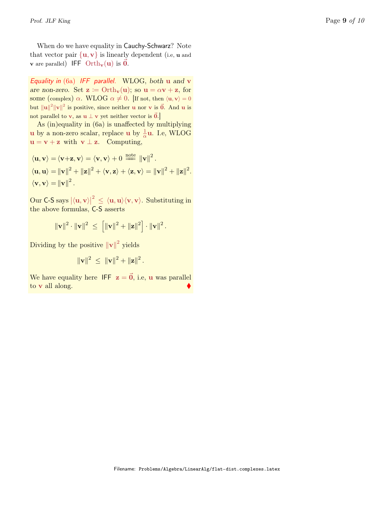When do we have equality in Cauchy-Schwarz? Note that vector pair  $\{u, v\}$  is linearly dependent (i.e, **u** and **v** are parallel) IFF Orth<sub>**v**</sub>(**u**) is  $\vec{0}$ .

Equality in  $(6a)$  IFF parallel. WLOG, both  $u$  and  $v$ are non-zero. Set  $\mathbf{z} := \text{Orth}_{\mathbf{v}}(\mathbf{u});$  so  $\mathbf{u} = \alpha \mathbf{v} + \mathbf{z}$ , for some (complex)  $\alpha$ . WLOG  $\alpha \neq 0$ . [If not, then  $\langle \mathbf{u}, \mathbf{v} \rangle = 0$ but  $||u||^2 ||v||^2$  is positive, since neither u nor v is  $\vec{0}$ . And u is not parallel to v, as  $u \perp v$  yet neither vector is  $\vec{0}$ .]

As (in)equality in (6a) is unaffected by multiplying u by a non-zero scalar, replace u by  $\frac{1}{\alpha}$ u. I.e, WLOG  $u = v + z$  with  $v \perp z$ . Computing,

$$
\langle \mathbf{u}, \mathbf{v} \rangle = \langle \mathbf{v} + \mathbf{z}, \mathbf{v} \rangle = \langle \mathbf{v}, \mathbf{v} \rangle + 0 \stackrel{\text{note}}{=} \|\mathbf{v}\|^2.
$$
  

$$
\langle \mathbf{u}, \mathbf{u} \rangle = \|\mathbf{v}\|^2 + \|\mathbf{z}\|^2 + \langle \mathbf{v}, \mathbf{z} \rangle + \langle \mathbf{z}, \mathbf{v} \rangle = \|\mathbf{v}\|^2 + \|\mathbf{z}\|^2.
$$
  

$$
\langle \mathbf{v}, \mathbf{v} \rangle = \|\mathbf{v}\|^2.
$$

 $\text{Our C-S says } |\langle \mathbf{u}, \mathbf{v} \rangle|^2 \, \le \, \langle \mathbf{u}, \mathbf{u} \rangle \langle \mathbf{v}, \mathbf{v} \rangle.$  Substituting in the above formulas, C-S asserts

$$
\|\mathbf{v}\|^2 \cdot \|\mathbf{v}\|^2 \ \leq \ \left[\|\mathbf{v}\|^2 + \|\mathbf{z}\|^2\right] \cdot \|\mathbf{v}\|^2 \, .
$$

Dividing by the positive  $\|\mathbf{v}\|^2$  yields

$$
\|\mathbf{v}\|^2 \ \leq \ \|\mathbf{v}\|^2 + \|\mathbf{z}\|^2 \, .
$$

We have equality here IFF  $z = \vec{0}$ , i.e, u was parallel to v all along.